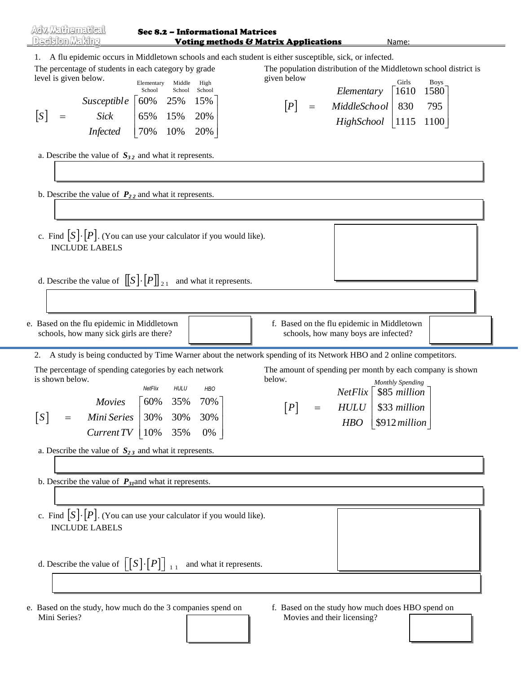| Adv. Mathematical<br>Deakion Making                                                                                                                                                                    | Sec 8.2 - Informational Matrices                                                                                                                                                         | <b>Voting methods &amp; Matrix Applications</b><br>Name:                                                                                                                                                                                                                                                                          |
|--------------------------------------------------------------------------------------------------------------------------------------------------------------------------------------------------------|------------------------------------------------------------------------------------------------------------------------------------------------------------------------------------------|-----------------------------------------------------------------------------------------------------------------------------------------------------------------------------------------------------------------------------------------------------------------------------------------------------------------------------------|
| The percentage of students in each category by grade<br>level is given below.<br>$\lfloor S \rfloor$<br>$\hspace{1.6cm} = \hspace{1.6cm}$<br>a. Describe the value of $S_{32}$ and what it represents. | Elementary<br>Middle<br>High<br>School School<br>School<br>Susceptible $\begin{bmatrix} 60\% & 25\% & 15\% \end{bmatrix}$<br>Sick   $65\%$ 15% 20%<br><i>Infected</i>   $70\%$ 10% 20%   | 1. A flu epidemic occurs in Middletown schools and each student is either susceptible, sick, or infected.<br>The population distribution of the Middletown school district is<br>given below<br>Girls<br><b>Boys</b><br>Elementary   $1610$<br>1580<br>[P]<br>MiddleSchool   830<br>$=$<br>795<br>$High School \mid 1115$<br>1100 |
| b. Describe the value of $P_{22}$ and what it represents.                                                                                                                                              |                                                                                                                                                                                          |                                                                                                                                                                                                                                                                                                                                   |
| <b>INCLUDE LABELS</b>                                                                                                                                                                                  | c. Find $\lceil S \rceil \cdot \lceil P \rceil$ . (You can use your calculator if you would like).                                                                                       |                                                                                                                                                                                                                                                                                                                                   |
|                                                                                                                                                                                                        | d. Describe the value of $[[S]\cdot [P]]_{21}$ and what it represents.                                                                                                                   |                                                                                                                                                                                                                                                                                                                                   |
| e. Based on the flu epidemic in Middletown<br>schools, how many sick girls are there?                                                                                                                  |                                                                                                                                                                                          | f. Based on the flu epidemic in Middletown<br>schools, how many boys are infected?                                                                                                                                                                                                                                                |
| 2.<br>The percentage of spending categories by each network<br>is shown below.<br> S <br>$=$                                                                                                           | NetFlix<br><b>HULU</b><br><b>HBO</b><br>70%<br>Movies $\begin{bmatrix} 60\% & 35\% \end{bmatrix}$<br><i>Mini Series</i> 30% 30% 30%<br><i>Current TV</i>   $10\%$ 35% 0%                 | A study is being conducted by Time Warner about the network spending of its Network HBO and 2 online competitors.<br>The amount of spending per month by each company is shown<br>below.<br>Monthly Spending<br>$NetFlix$ \ \\$85 million<br>[P]<br>$HULU$   \$33 million<br>$\equiv$<br>$HBO$ \\$912 million                     |
| a. Describe the value of $S_{23}$ and what it represents.<br>b. Describe the value of $P_{31}$ and what it represents.                                                                                 |                                                                                                                                                                                          |                                                                                                                                                                                                                                                                                                                                   |
| <b>INCLUDE LABELS</b>                                                                                                                                                                                  | c. Find $[S] \cdot [P]$ . (You can use your calculator if you would like).<br>d. Describe the value of $\lfloor S \rfloor \cdot \lfloor P \rfloor \rfloor_{1,1}$ and what it represents. |                                                                                                                                                                                                                                                                                                                                   |
|                                                                                                                                                                                                        | e. Based on the study, how much do the 3 companies spend on                                                                                                                              | f. Based on the study how much does HBO spend on                                                                                                                                                                                                                                                                                  |

Mini Series?

f. Based on the study how much does HBO spend on Movies and their licensing?